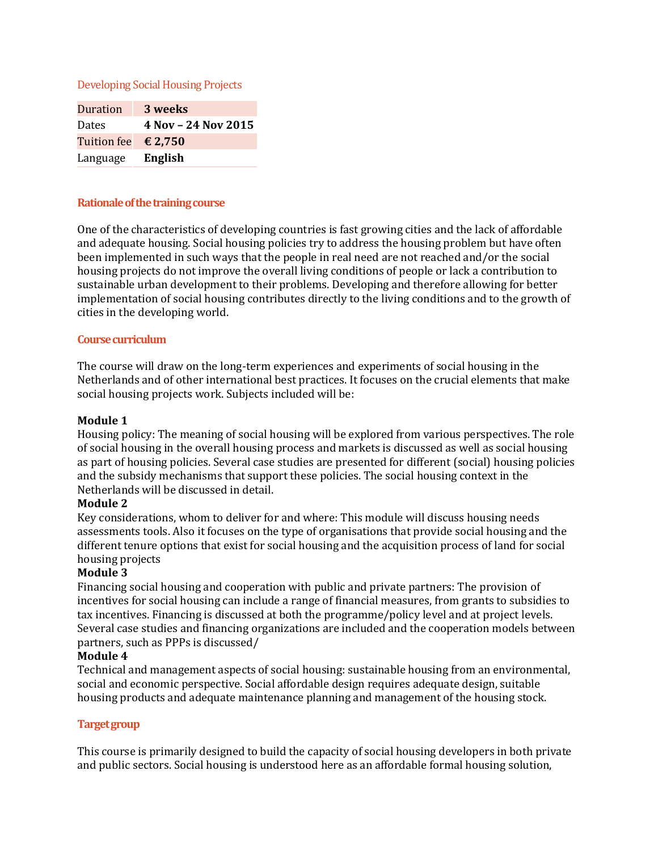Developing Social Housing Projects

| Duration                     | 3 weeks             |
|------------------------------|---------------------|
| <b>Dates</b>                 | 4 Nov - 24 Nov 2015 |
| Tuition fee $\epsilon$ 2,750 |                     |
| Language                     | English             |

### **Rationale of the training course**

One of the characteristics of developing countries is fast growing cities and the lack of affordable and adequate housing. Social housing policies try to address the housing problem but have often been implemented in such ways that the people in real need are not reached and/or the social housing projects do not improve the overall living conditions of people or lack a contribution to sustainable urban development to their problems. Developing and therefore allowing for better implementation of social housing contributes directly to the living conditions and to the growth of cities in the developing world.

### **Course curriculum**

The course will draw on the long-term experiences and experiments of social housing in the Netherlands and of other international best practices. It focuses on the crucial elements that make social housing projects work. Subjects included will be:

### **Module 1**

Housing policy: The meaning of social housing will be explored from various perspectives. The role of social housing in the overall housing process and markets is discussed as well as social housing as part of housing policies. Several case studies are presented for different (social) housing policies and the subsidy mechanisms that support these policies. The social housing context in the Netherlands will be discussed in detail.

## **Module 2**

Key considerations, whom to deliver for and where: This module will discuss housing needs assessments tools. Also it focuses on the type of organisations that provide social housing and the different tenure options that exist for social housing and the acquisition process of land for social housing projects

# **Module 3**

Financing social housing and cooperation with public and private partners: The provision of incentives for social housing can include a range of financial measures, from grants to subsidies to tax incentives. Financing is discussed at both the programme/policy level and at project levels. Several case studies and financing organizations are included and the cooperation models between partners, such as PPPs is discussed/

### **Module 4**

Technical and management aspects of social housing: sustainable housing from an environmental, social and economic perspective. Social affordable design requires adequate design, suitable housing products and adequate maintenance planning and management of the housing stock.

## **Target group**

This course is primarily designed to build the capacity of social housing developers in both private and public sectors. Social housing is understood here as an affordable formal housing solution,